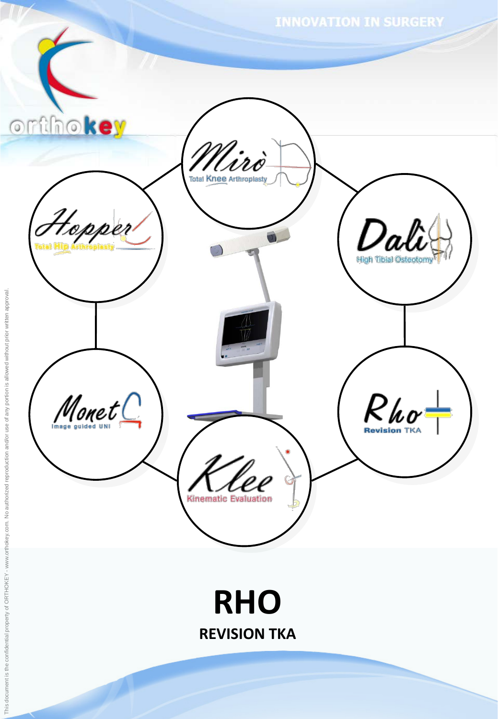